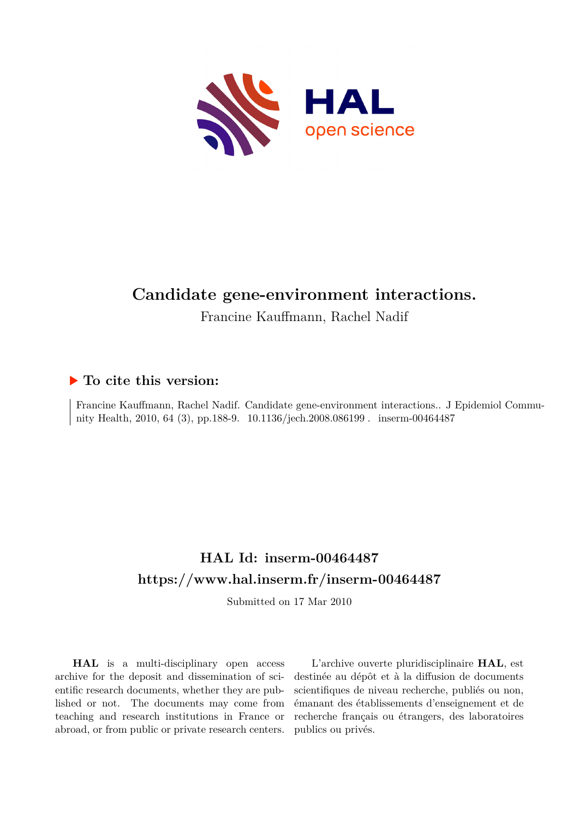

# **Candidate gene-environment interactions.**

Francine Kauffmann, Rachel Nadif

### **To cite this version:**

Francine Kauffmann, Rachel Nadif. Candidate gene-environment interactions.. J Epidemiol Community Health, 2010, 64 (3), pp.188-9.  $10.1136/jech.2008.086199$ . inserm-00464487

## **HAL Id: inserm-00464487 <https://www.hal.inserm.fr/inserm-00464487>**

Submitted on 17 Mar 2010

**HAL** is a multi-disciplinary open access archive for the deposit and dissemination of scientific research documents, whether they are published or not. The documents may come from teaching and research institutions in France or abroad, or from public or private research centers.

L'archive ouverte pluridisciplinaire **HAL**, est destinée au dépôt et à la diffusion de documents scientifiques de niveau recherche, publiés ou non, émanant des établissements d'enseignement et de recherche français ou étrangers, des laboratoires publics ou privés.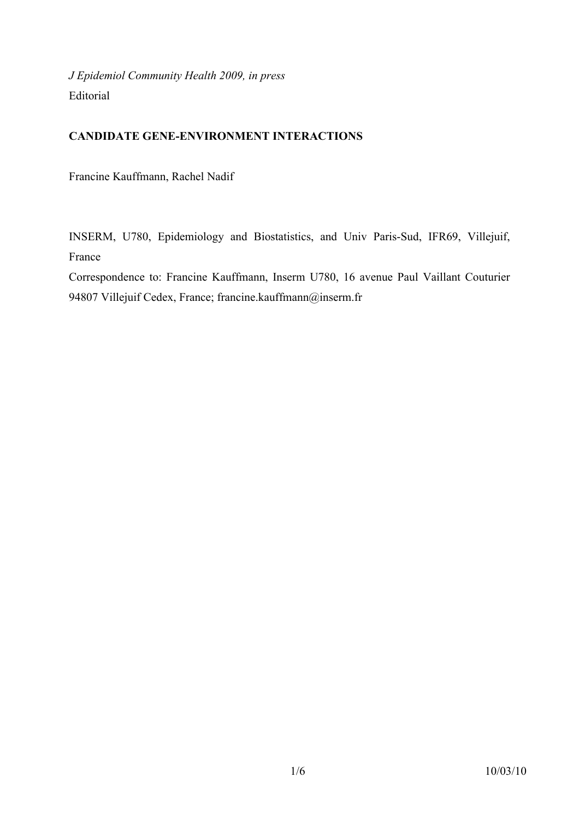*J Epidemiol Community Health 2009, in press* Editorial

#### **CANDIDATE GENE-ENVIRONMENT INTERACTIONS**

Francine Kauffmann, Rachel Nadif

INSERM, U780, Epidemiology and Biostatistics, and Univ Paris-Sud, IFR69, Villejuif, France

Correspondence to: Francine Kauffmann, Inserm U780, 16 avenue Paul Vaillant Couturier 94807 Villejuif Cedex, France; francine.kauffmann@inserm.fr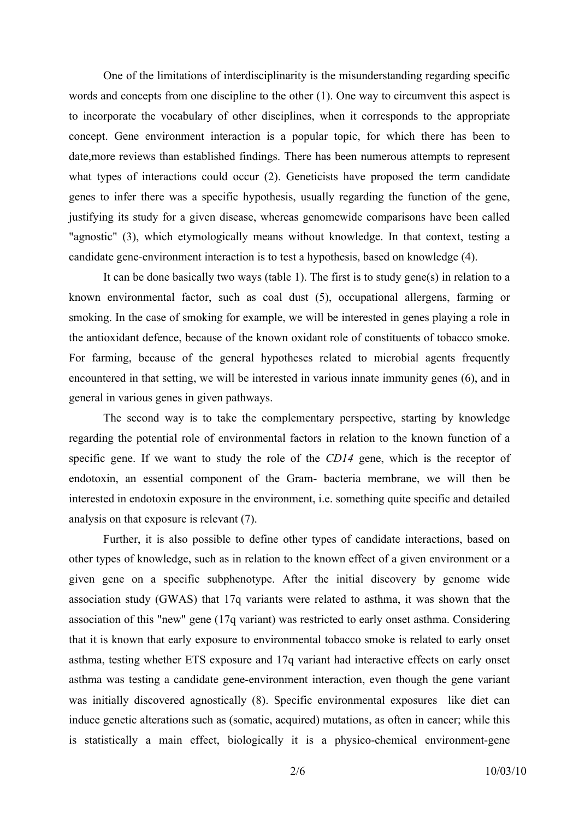One of the limitations of interdisciplinarity is the misunderstanding regarding specific words and concepts from one discipline to the other (1). One way to circumvent this aspect is to incorporate the vocabulary of other disciplines, when it corresponds to the appropriate concept. Gene environment interaction is a popular topic, for which there has been to date,more reviews than established findings. There has been numerous attempts to represent what types of interactions could occur (2). Geneticists have proposed the term candidate genes to infer there was a specific hypothesis, usually regarding the function of the gene, justifying its study for a given disease, whereas genomewide comparisons have been called "agnostic" (3), which etymologically means without knowledge. In that context, testing a candidate gene-environment interaction is to test a hypothesis, based on knowledge (4).

It can be done basically two ways (table 1). The first is to study gene(s) in relation to a known environmental factor, such as coal dust (5), occupational allergens, farming or smoking. In the case of smoking for example, we will be interested in genes playing a role in the antioxidant defence, because of the known oxidant role of constituents of tobacco smoke. For farming, because of the general hypotheses related to microbial agents frequently encountered in that setting, we will be interested in various innate immunity genes (6), and in general in various genes in given pathways.

The second way is to take the complementary perspective, starting by knowledge regarding the potential role of environmental factors in relation to the known function of a specific gene. If we want to study the role of the *CD14* gene, which is the receptor of endotoxin, an essential component of the Gram- bacteria membrane, we will then be interested in endotoxin exposure in the environment, i.e. something quite specific and detailed analysis on that exposure is relevant (7).

Further, it is also possible to define other types of candidate interactions, based on other types of knowledge, such as in relation to the known effect of a given environment or a given gene on a specific subphenotype. After the initial discovery by genome wide association study (GWAS) that 17q variants were related to asthma, it was shown that the association of this "new" gene (17q variant) was restricted to early onset asthma. Considering that it is known that early exposure to environmental tobacco smoke is related to early onset asthma, testing whether ETS exposure and 17q variant had interactive effects on early onset asthma was testing a candidate gene-environment interaction, even though the gene variant was initially discovered agnostically (8). Specific environmental exposures like diet can induce genetic alterations such as (somatic, acquired) mutations, as often in cancer; while this is statistically a main effect, biologically it is a physico-chemical environment-gene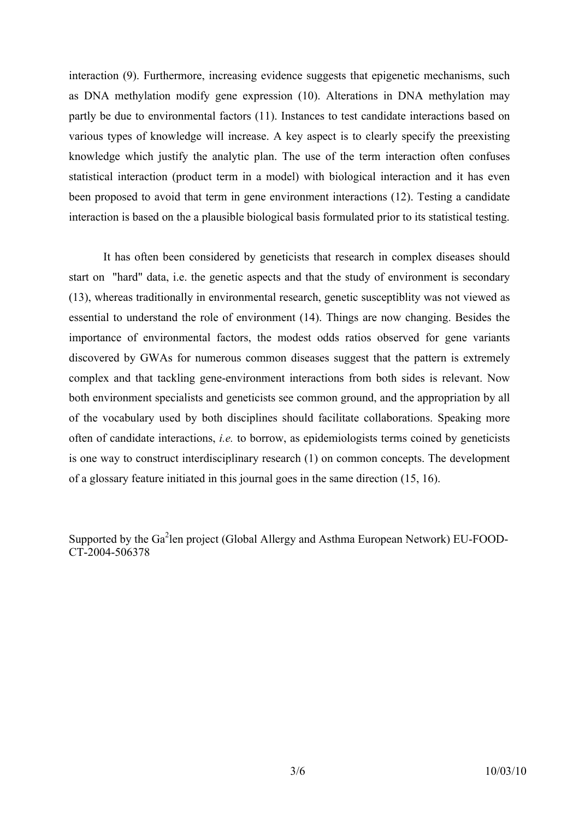interaction (9). Furthermore, increasing evidence suggests that epigenetic mechanisms, such as DNA methylation modify gene expression (10). Alterations in DNA methylation may partly be due to environmental factors (11). Instances to test candidate interactions based on various types of knowledge will increase. A key aspect is to clearly specify the preexisting knowledge which justify the analytic plan. The use of the term interaction often confuses statistical interaction (product term in a model) with biological interaction and it has even been proposed to avoid that term in gene environment interactions (12). Testing a candidate interaction is based on the a plausible biological basis formulated prior to its statistical testing.

It has often been considered by geneticists that research in complex diseases should start on "hard" data, i.e. the genetic aspects and that the study of environment is secondary (13), whereas traditionally in environmental research, genetic susceptiblity was not viewed as essential to understand the role of environment (14). Things are now changing. Besides the importance of environmental factors, the modest odds ratios observed for gene variants discovered by GWAs for numerous common diseases suggest that the pattern is extremely complex and that tackling gene-environment interactions from both sides is relevant. Now both environment specialists and geneticists see common ground, and the appropriation by all of the vocabulary used by both disciplines should facilitate collaborations. Speaking more often of candidate interactions, *i.e.* to borrow, as epidemiologists terms coined by geneticists is one way to construct interdisciplinary research (1) on common concepts. The development of a glossary feature initiated in this journal goes in the same direction (15, 16).

Supported by the Ga<sup>2</sup>len project (Global Allergy and Asthma European Network) EU-FOOD-CT-2004-506378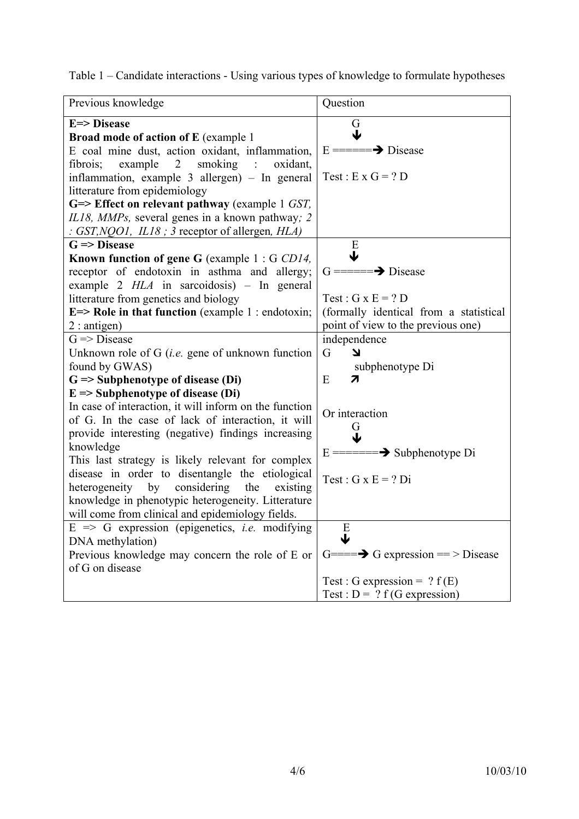Table 1 – Candidate interactions - Using various types of knowledge to formulate hypotheses

| Previous knowledge                                                                         | Question                                           |
|--------------------------------------------------------------------------------------------|----------------------------------------------------|
| E=> Disease                                                                                | G                                                  |
| <b>Broad mode of action of E</b> (example 1)                                               | ↓                                                  |
| E coal mine dust, action oxidant, inflammation,                                            | $E = \equiv \equiv \Longrightarrow$ Disease        |
| smoking<br>example<br>$\overline{2}$<br>$\mathcal{L}^{\text{max}}$<br>fibrois;<br>oxidant. |                                                    |
| inflammation, example 3 allergen) – In general                                             | Test : E x $G = ? D$                               |
| litterature from epidemiology                                                              |                                                    |
| $G \Rightarrow$ Effect on relevant pathway (example 1 GST,                                 |                                                    |
| IL18, MMPs, several genes in a known pathway; 2                                            |                                                    |
| : GST, NQO1, IL18 ; 3 receptor of allergen, HLA)                                           |                                                    |
| $G \Rightarrow Discase$                                                                    | E                                                  |
| Known function of gene G (example 1: G CD14,                                               | ↓                                                  |
| receptor of endotoxin in asthma and allergy;                                               | $G = = = \rightarrow$ Disease                      |
| example $2$ HLA in sarcoidosis) - In general                                               |                                                    |
| litterature from genetics and biology                                                      | Test : $G \times E = ? D$                          |
| $E \Rightarrow$ Role in that function (example 1 : endotoxin;                              | (formally identical from a statistical             |
| $2:$ antigen)                                                                              | point of view to the previous one)                 |
| $G \Rightarrow Discase$                                                                    | independence                                       |
| Unknown role of $G$ ( <i>i.e.</i> gene of unknown function                                 | G<br>צ                                             |
| found by GWAS)                                                                             | subphenotype Di                                    |
| $G \Rightarrow$ Subphenotype of disease (Di)                                               | E<br>7                                             |
| $E \Rightarrow$ Subphenotype of disease (Di)                                               |                                                    |
| In case of interaction, it will inform on the function                                     | Or interaction                                     |
| of G. In the case of lack of interaction, it will                                          |                                                    |
| provide interesting (negative) findings increasing                                         | G<br>ψ                                             |
| knowledge                                                                                  | $E = = = = \rightarrow$ Subphenotype Di            |
| This last strategy is likely relevant for complex                                          |                                                    |
| disease in order to disentangle the etiological                                            | Test : $G \times E = ?$ Di                         |
| considering<br>heterogeneity<br>existing<br>by<br>the                                      |                                                    |
| knowledge in phenotypic heterogeneity. Litterature                                         |                                                    |
| will come from clinical and epidemiology fields.                                           |                                                    |
| $E \implies G$ expression (epigenetics, <i>i.e.</i> modifying                              | E                                                  |
| DNA methylation)                                                                           | J                                                  |
| Previous knowledge may concern the role of E or                                            | $G=\equiv\Longrightarrow G$ expression = > Disease |
| of G on disease                                                                            |                                                    |
|                                                                                            | Test : G expression = $? f(E)$                     |
|                                                                                            | Test : $D = ? f(G expression)$                     |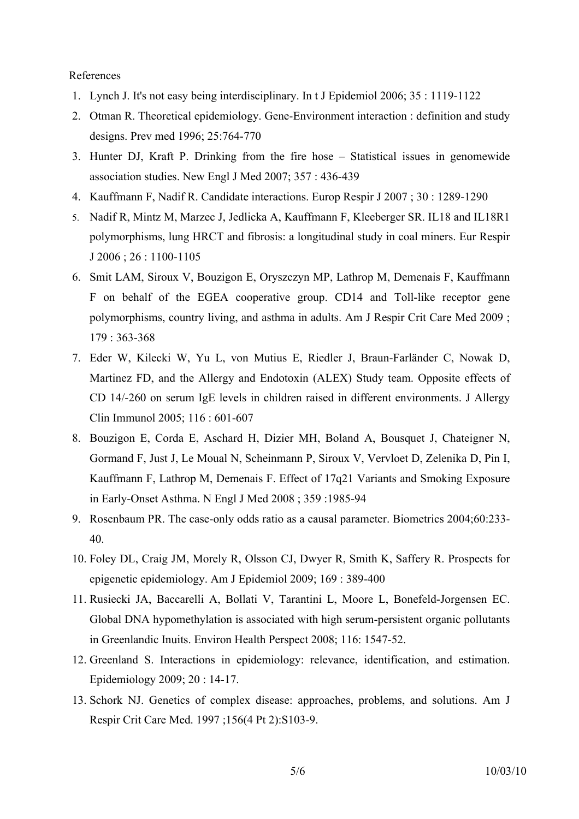#### References

- 1. Lynch J. It's not easy being interdisciplinary. In t J Epidemiol 2006; 35 : 1119-1122
- 2. Otman R. Theoretical epidemiology. Gene-Environment interaction : definition and study designs. Prev med 1996; 25:764-770
- 3. Hunter DJ, Kraft P. Drinking from the fire hose Statistical issues in genomewide association studies. New Engl J Med 2007; 357 : 436-439
- 4. Kauffmann F, Nadif R. Candidate interactions. Europ Respir J 2007 ; 30 : 1289-1290
- 5. Nadif R, Mintz M, Marzec J, Jedlicka A, Kauffmann F, Kleeberger SR. IL18 and IL18R1 polymorphisms, lung HRCT and fibrosis: a longitudinal study in coal miners. Eur Respir J 2006 ; 26 : 1100-1105
- 6. Smit LAM, Siroux V, Bouzigon E, Oryszczyn MP, Lathrop M, Demenais F, Kauffmann F on behalf of the EGEA cooperative group. CD14 and Toll-like receptor gene polymorphisms, country living, and asthma in adults. Am J Respir Crit Care Med 2009 ; 179 : 363-368
- 7. Eder W, Kilecki W, Yu L, von Mutius E, Riedler J, Braun-Farländer C, Nowak D, Martinez FD, and the Allergy and Endotoxin (ALEX) Study team. Opposite effects of CD 14/-260 on serum IgE levels in children raised in different environments. J Allergy Clin Immunol 2005; 116 : 601-607
- 8. Bouzigon E, Corda E, Aschard H, Dizier MH, Boland A, Bousquet J, Chateigner N, Gormand F, Just J, Le Moual N, Scheinmann P, Siroux V, Vervloet D, Zelenika D, Pin I, Kauffmann F, Lathrop M, Demenais F. Effect of 17q21 Variants and Smoking Exposure in Early-Onset Asthma. N Engl J Med 2008 ; 359 :1985-94
- 9. Rosenbaum PR. The case-only odds ratio as a causal parameter. Biometrics 2004;60:233- 40.
- 10. Foley DL, Craig JM, Morely R, Olsson CJ, Dwyer R, Smith K, Saffery R. Prospects for epigenetic epidemiology. Am J Epidemiol 2009; 169 : 389-400
- 11. Rusiecki JA, Baccarelli A, Bollati V, Tarantini L, Moore L, Bonefeld-Jorgensen EC. Global DNA hypomethylation is associated with high serum-persistent organic pollutants in Greenlandic Inuits. Environ Health Perspect 2008; 116: 1547-52.
- 12. Greenland S. Interactions in epidemiology: relevance, identification, and estimation. Epidemiology 2009; 20 : 14-17.
- 13. Schork NJ. Genetics of complex disease: approaches, problems, and solutions. Am J Respir Crit Care Med. 1997 ;156(4 Pt 2):S103-9.